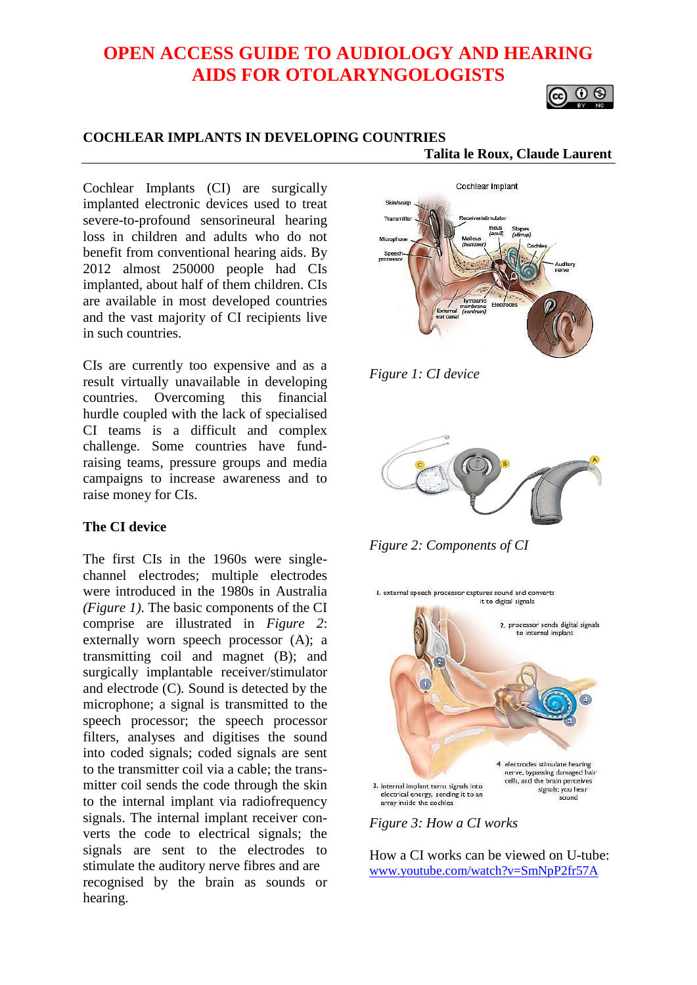# **OPEN ACCESS GUIDE TO AUDIOLOGY AND HEARING AIDS FOR OTOLARYNGOLOGISTS**

# $\circ$

#### **COCHLEAR IMPLANTS IN DEVELOPING COUNTRIES**

 **Talita le Roux, Claude Laurent**

Cochlear Implants (CI) are surgically implanted electronic devices used to treat severe-to-profound sensorineural hearing loss in children and adults who do not benefit from conventional hearing aids. By 2012 almost 250000 people had CIs implanted, about half of them children. CIs are available in most developed countries and the vast majority of CI recipients live in such countries.

CIs are currently too expensive and as a result virtually unavailable in developing countries. Overcoming this financial hurdle coupled with the lack of specialised CI teams is a difficult and complex challenge. Some countries have fundraising teams, pressure groups and media campaigns to increase awareness and to raise money for CIs.

#### **The CI device**

The first CIs in the 1960s were singlechannel electrodes; multiple electrodes were introduced in the 1980s in Australia *(Figure 1)*. The basic components of the CI comprise are illustrated in *Figure 2*: externally worn speech processor (A); a transmitting coil and magnet (B); and surgically implantable receiver/stimulator and electrode (C)*.* Sound is detected by the microphone; a signal is transmitted to the speech processor; the speech processor filters, analyses and digitises the sound into coded signals; coded signals are sent to the transmitter coil via a cable; the transmitter coil sends the code through the skin to the internal implant via radiofrequency signals. The internal implant receiver converts the code to electrical signals; the signals are sent to the electrodes to stimulate the auditory nerve fibres and are recognised by the brain as sounds or hearing.



*Figure 1: CI device*



*Figure 2: Components of CI*



*Figure 3: How a CI works*

How a CI works can be viewed on U-tube: [www.youtube.com/watch?v=SmNpP2fr57A](http://www.youtube.com/watch?v=SmNpP2fr57A)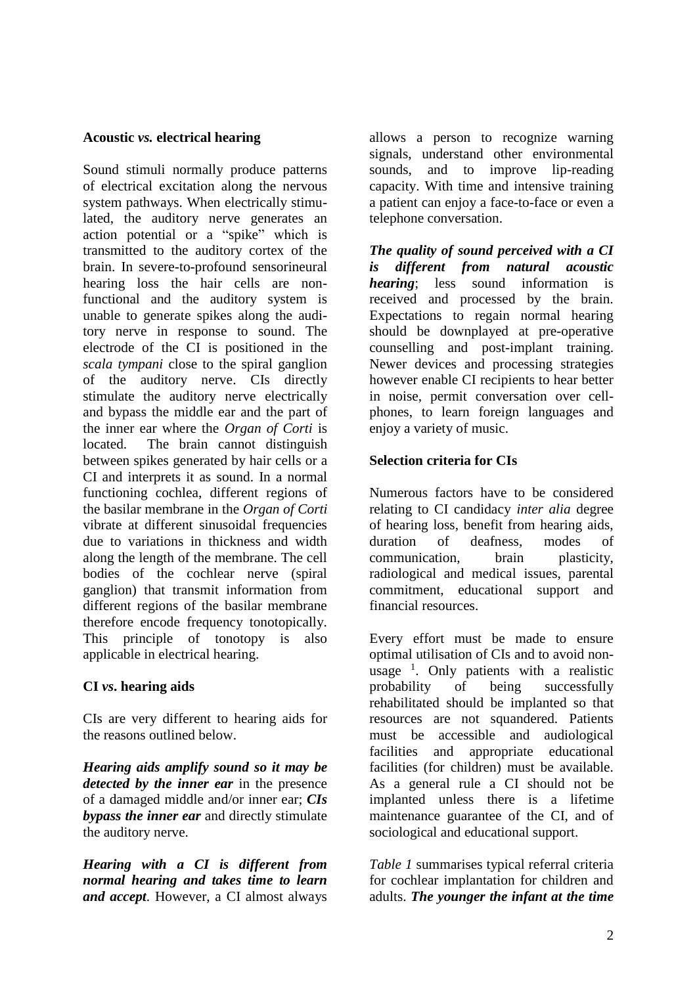#### **Acoustic** *vs.* **electrical hearing**

Sound stimuli normally produce patterns of electrical excitation along the nervous system pathways. When electrically stimulated, the auditory nerve generates an action potential or a "spike" which is transmitted to the auditory cortex of the brain. In severe-to-profound sensorineural hearing loss the hair cells are nonfunctional and the auditory system is unable to generate spikes along the auditory nerve in response to sound. The electrode of the CI is positioned in the *scala tympani* close to the spiral ganglion of the auditory nerve. CIs directly stimulate the auditory nerve electrically and bypass the middle ear and the part of the inner ear where the *Organ of Corti* is located. The brain cannot distinguish between spikes generated by hair cells or a CI and interprets it as sound. In a normal functioning cochlea, different regions of the [basilar membrane](http://en.wikipedia.org/wiki/Basilar_membrane) in the *[Organ of Corti](http://en.wikipedia.org/wiki/Organ_of_Corti)* vibrate at different sinusoidal frequencies due to variations in thickness and width along the length of the membrane. The cell bodies of the cochlear nerve (spiral ganglion) that transmit information from different regions of the basilar membrane therefore encode frequency tonotopically. This principle of tonotopy is also applicable in electrical hearing.

# **CI** *vs***. hearing aids**

CIs are very different to hearing aids for the reasons outlined below.

*Hearing aids amplify sound so it may be detected by the inner ear* in the presence of a damaged middle and/or inner ear; *CIs bypass the inner ear* and directly stimulate the auditory nerve.

*Hearing with a CI is different from normal hearing and takes time to learn and accept*. However, a CI almost always allows a person to recognize warning signals, understand other environmental sounds, and to improve lip-reading capacity. With time and intensive training a patient can enjoy a face-to-face or even a telephone conversation.

*The quality of sound perceived with a CI is different from natural acoustic hearing*; less sound information is received and processed by the brain. Expectations to regain normal hearing should be downplayed at pre-operative counselling and post-implant training. Newer devices and processing strategies however enable CI recipients to hear better in noise, permit conversation over cellphones, to learn foreign languages and enjoy a variety of music.

#### **Selection criteria for CIs**

Numerous factors have to be considered relating to CI candidacy *inter alia* degree of hearing loss, benefit from hearing aids, duration of deafness, modes of communication, brain plasticity, radiological and medical issues, parental commitment, educational support and financial resources.

Every effort must be made to ensure optimal utilisation of CIs and to avoid nonusage  $\frac{1}{1}$ . Only patients with a realistic probability of being successfully rehabilitated should be implanted so that resources are not squandered. Patients must be accessible and audiological facilities and appropriate educational facilities (for children) must be available. As a general rule a CI should not be implanted unless there is a lifetime maintenance guarantee of the CI, and of sociological and educational support.

*Table 1* summarises typical referral criteria for cochlear implantation for children and adults. *The younger the infant at the time*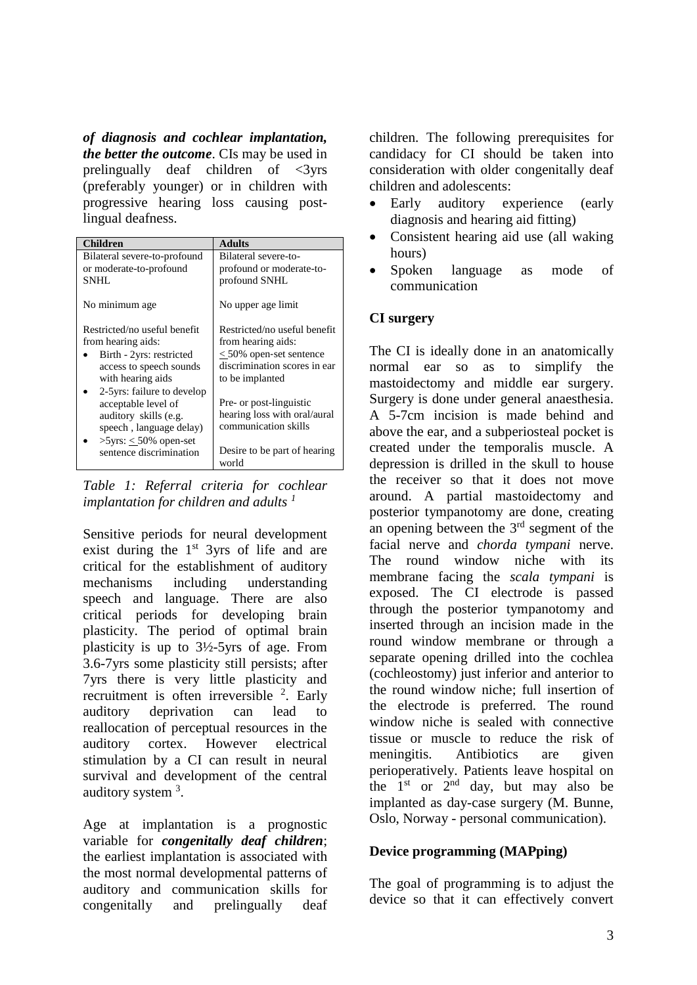*of diagnosis and cochlear implantation, the better the outcome*. CIs may be used in prelingually deaf children of  $\langle$ 3yrs (preferably younger) or in children with progressive hearing loss causing postlingual deafness.

| <b>Children</b>              | <b>Adults</b>                         |
|------------------------------|---------------------------------------|
| Bilateral severe-to-profound | Bilateral severe-to-                  |
| or moderate-to-profound      | profound or moderate-to-              |
| SNHL                         | profound SNHL                         |
| No minimum age               | No upper age limit                    |
| Restricted/no useful benefit | Restricted/no useful benefit          |
| from hearing aids:           | from hearing aids:                    |
| Birth - 2yrs: restricted     | $<$ 50% open-set sentence             |
| access to speech sounds      | discrimination scores in ear          |
| with hearing aids            | to be implanted                       |
| 2-5yrs: failure to develop   |                                       |
| acceptable level of          | Pre- or post-linguistic               |
| auditory skills (e.g.        | hearing loss with oral/aural          |
| speech, language delay)      | communication skills                  |
| $>5$ yrs: < 50% open-set     |                                       |
| sentence discrimination      | Desire to be part of hearing<br>world |

*Table 1: Referral criteria for cochlear implantation for children and adults <sup>1</sup>*

Sensitive periods for neural development exist during the  $1<sup>st</sup>$  3yrs of life and are critical for the establishment of auditory mechanisms including understanding speech and language. There are also critical periods for developing brain plasticity. The period of optimal brain plasticity is up to 3½-5yrs of age. From 3.6-7yrs some plasticity still persists; after 7yrs there is very little plasticity and recruitment is often irreversible  $2$ . Early auditory deprivation can lead to reallocation of perceptual resources in the auditory cortex. However electrical stimulation by a CI can result in neural survival and development of the central auditory system <sup>3</sup>.

Age at implantation is a prognostic variable for *congenitally deaf children*; the earliest implantation is associated with the most normal developmental patterns of auditory and communication skills for congenitally and prelingually deaf children. The following prerequisites for candidacy for CI should be taken into consideration with older congenitally deaf children and adolescents:

- Early auditory experience (early diagnosis and hearing aid fitting)
- Consistent hearing aid use (all waking hours)
- Spoken language as mode of communication

# **CI surgery**

The CI is ideally done in an anatomically normal ear so as to simplify the mastoidectomy and middle ear surgery. Surgery is done under general anaesthesia. A 5-7cm incision is made behind and above the ear, and a subperiosteal pocket is created under the temporalis muscle. A depression is drilled in the skull to house the receiver so that it does not move around. A partial mastoidectomy and posterior tympanotomy are done, creating an opening between the  $3<sup>rd</sup>$  segment of the facial nerve and *chorda tympani* nerve. The round window niche with its membrane facing the *scala tympani* is exposed. The CI electrode is passed through the posterior tympanotomy and inserted through an incision made in the round window membrane or through a separate opening drilled into the cochlea (cochleostomy) just inferior and anterior to the round window niche; full insertion of the electrode is preferred. The round window niche is sealed with connective tissue or muscle to reduce the risk of meningitis. Antibiotics are given perioperatively. Patients leave hospital on the  $1<sup>st</sup>$  or  $2<sup>nd</sup>$  day, but may also be implanted as day-case surgery (M. Bunne, Oslo, Norway - personal communication).

# **Device programming (MAPping)**

The goal of programming is to adjust the device so that it can effectively convert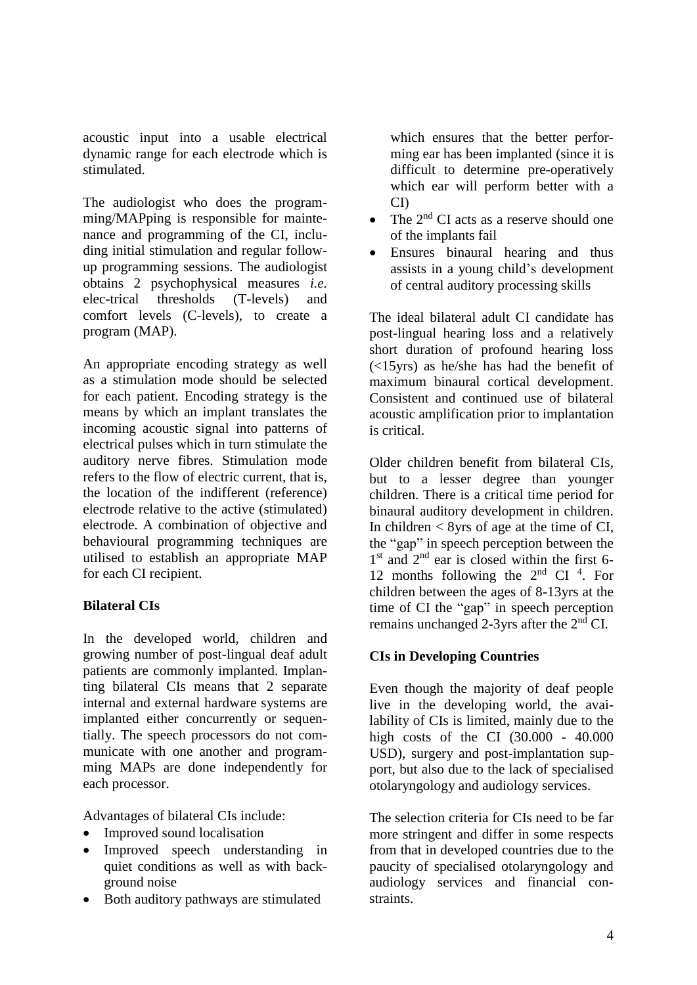acoustic input into a usable electrical dynamic range for each electrode which is stimulated.

The audiologist who does the programming/MAPping is responsible for maintenance and programming of the CI, including initial stimulation and regular followup programming sessions. The audiologist obtains 2 psychophysical measures *i.e.* elec-trical thresholds (T-levels) and comfort levels (C-levels), to create a program (MAP).

An appropriate encoding strategy as well as a stimulation mode should be selected for each patient. Encoding strategy is the means by which an implant translates the incoming acoustic signal into patterns of electrical pulses which in turn stimulate the auditory nerve fibres. Stimulation mode refers to the flow of electric current, that is, the location of the indifferent (reference) electrode relative to the active (stimulated) electrode. A combination of objective and behavioural programming techniques are utilised to establish an appropriate MAP for each CI recipient.

#### **Bilateral CIs**

In the developed world, children and growing number of post-lingual deaf adult patients are commonly implanted. Implanting bilateral CIs means that 2 separate internal and external hardware systems are implanted either concurrently or sequentially. The speech processors do not communicate with one another and programming MAPs are done independently for each processor.

Advantages of bilateral CIs include:

- Improved sound localisation
- Improved speech understanding in quiet conditions as well as with background noise
- Both auditory pathways are stimulated

which ensures that the better performing ear has been implanted (since it is difficult to determine pre-operatively which ear will perform better with a CI)

- The 2<sup>nd</sup> CI acts as a reserve should one of the implants fail
- Ensures binaural hearing and thus assists in a young child's development of central auditory processing skills

The ideal bilateral adult CI candidate has post-lingual hearing loss and a relatively short duration of profound hearing loss (<15yrs) as he/she has had the benefit of maximum binaural cortical development. Consistent and continued use of bilateral acoustic amplification prior to implantation is critical.

Older children benefit from bilateral CIs, but to a lesser degree than younger children. There is a critical time period for binaural auditory development in children. In children  $<$  8yrs of age at the time of CI, the "gap" in speech perception between the 1<sup>st</sup> and 2<sup>nd</sup> ear is closed within the first 6-12 months following the  $2<sup>nd</sup>$  CI<sup>4</sup>. For children between the ages of 8-13yrs at the time of CI the "gap" in speech perception remains unchanged 2-3yrs after the  $2<sup>nd</sup>$  CI.

# **CIs in Developing Countries**

Even though the majority of deaf people live in the developing world, the availability of CIs is limited, mainly due to the high costs of the CI (30.000 - 40.000 USD), surgery and post-implantation support, but also due to the lack of specialised otolaryngology and audiology services.

The selection criteria for CIs need to be far more stringent and differ in some respects from that in developed countries due to the paucity of specialised otolaryngology and audiology services and financial constraints.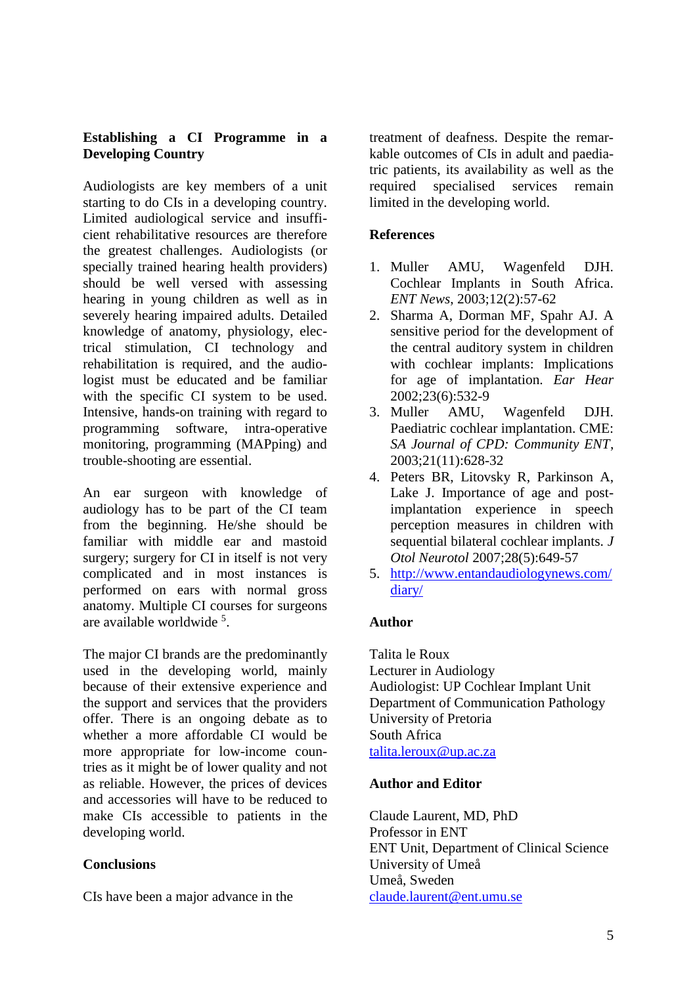#### **Establishing a CI Programme in a Developing Country**

Audiologists are key members of a unit starting to do CIs in a developing country. Limited audiological service and insufficient rehabilitative resources are therefore the greatest challenges. Audiologists (or specially trained hearing health providers) should be well versed with assessing hearing in young children as well as in severely hearing impaired adults. Detailed knowledge of anatomy, physiology, electrical stimulation, CI technology and rehabilitation is required, and the audiologist must be educated and be familiar with the specific CI system to be used. Intensive, hands-on training with regard to programming software, intra-operative monitoring, programming (MAPping) and trouble-shooting are essential.

An ear surgeon with knowledge of audiology has to be part of the CI team from the beginning. He/she should be familiar with middle ear and mastoid surgery; surgery for CI in itself is not very complicated and in most instances is performed on ears with normal gross anatomy. Multiple CI courses for surgeons are available worldwide<sup>5</sup>.

The major CI brands are the predominantly used in the developing world, mainly because of their extensive experience and the support and services that the providers offer. There is an ongoing debate as to whether a more affordable CI would be more appropriate for low-income countries as it might be of lower quality and not as reliable. However, the prices of devices and accessories will have to be reduced to make CIs accessible to patients in the developing world.

#### **Conclusions**

CIs have been a major advance in the

treatment of deafness. Despite the remarkable outcomes of CIs in adult and paediatric patients, its availability as well as the required specialised services remain required specialised services remain limited in the developing world.

#### **References**

- 1. Muller AMU, Wagenfeld DJH. Cochlear Implants in South Africa. *ENT News*, 2003;12(2):57-62
- 2. Sharma A, Dorman MF, Spahr AJ. A sensitive period for the development of the central auditory system in children with cochlear implants: Implications for age of implantation. *Ear Hear* 2002;23(6):532-9
- 3. Muller AMU, Wagenfeld DJH. Paediatric cochlear implantation. CME: *SA Journal of CPD: Community ENT*, 2003;21(11):628-32
- 4. Peters BR, Litovsky R, Parkinson A, Lake J. Importance of age and postimplantation experience in speech perception measures in children with sequential bilateral cochlear implants. *J Otol Neurotol* 2007;28(5):649-57
- 5. [http://www.entandaudiologynews.com/](http://www.entandaudiologynews.com/diary/) [diary/](http://www.entandaudiologynews.com/diary/)

#### **Author**

Talita le Roux Lecturer in Audiology Audiologist: UP Cochlear Implant Unit Department of Communication Pathology University of Pretoria South Africa [talita.leroux@up.ac.za](mailto:talita.leroux@up.ac.za)

#### **Author and Editor**

Claude Laurent, MD, PhD Professor in ENT ENT Unit, Department of Clinical Science University of Umeå Umeå, Sweden [claude.laurent@ent.umu.se](mailto:claude.laurent@ent.umu.se)